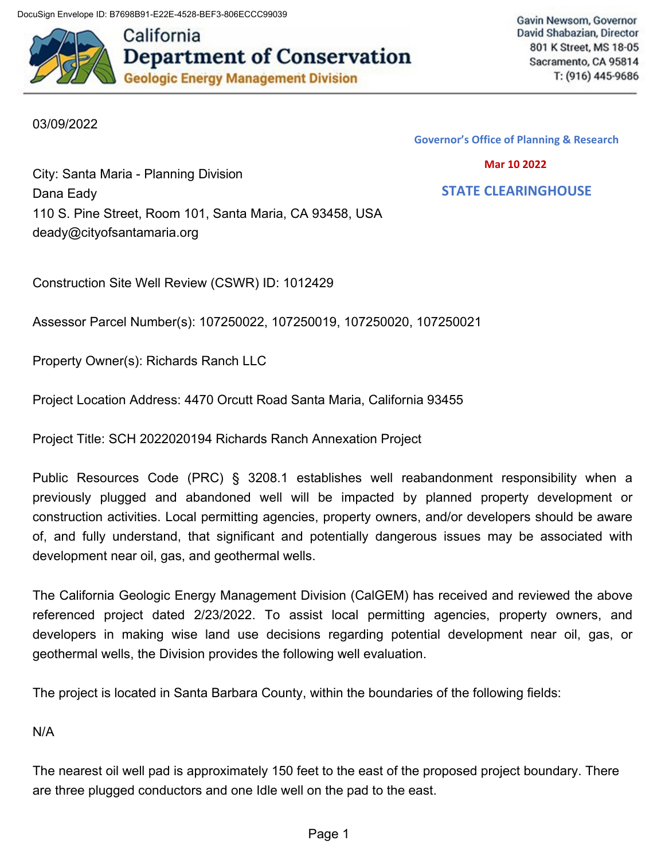DocuSign Envelope ID: B7698B91-E22E-4528-BEF3-806ECCC99039



Gavin Newsom, Governor David Shabazian, Director 801 K Street, MS 18-05 Sacramento, CA 95814 T: (916) 445-9686

## 03/09/2022

**Governor's Office of Planning & Research**

 **Mar 10 2022**

 **STATE CLEARINGHOUSE**

City: Santa Maria - Planning Division Dana Eady 110 S. Pine Street, Room 101, Santa Maria, CA 93458, USA [deady@cityofsantamaria.org](mailto:deady@cityofsantamaria.org)

Construction Site Well Review (CSWR) ID: 1012429

Assessor Parcel Number(s): 107250022, 107250019, 107250020, 107250021

Property Owner(s): Richards Ranch LLC

Project Location Address: 4470 Orcutt Road Santa Maria, California 93455

Project Title: SCH 2022020194 Richards Ranch Annexation Project

Public Resources Code (PRC) § 3208.1 establishes well reabandonment responsibility when a previously plugged and abandoned well will be impacted by planned property development or construction activities. Local permitting agencies, property owners, and/or developers should be aware of, and fully understand, that significant and potentially dangerous issues may be associated with development near oil, gas, and geothermal wells.

The California Geologic Energy Management Division (CalGEM) has received and reviewed the above referenced project dated 2/23/2022. To assist local permitting agencies, property owners, and developers in making wise land use decisions regarding potential development near oil, gas, or geothermal wells, the Division provides the following well evaluation.

The project is located in Santa Barbara County, within the boundaries of the following fields:

N/A

The nearest oil well pad is approximately 150 feet to the east of the proposed project boundary. There are three plugged conductors and one Idle well on the pad to the east.